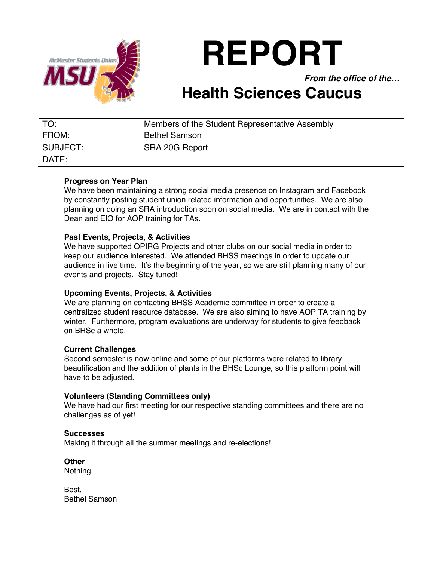

**REPORT**

*From the office of the…*

# **Health Sciences Caucus**

| TO:      | Members of the Student Representative Assembly |
|----------|------------------------------------------------|
| FROM:    | <b>Bethel Samson</b>                           |
| SUBJECT: | SRA 20G Report                                 |
| DATE:    |                                                |

# **Progress on Year Plan**

We have been maintaining a strong social media presence on Instagram and Facebook by constantly posting student union related information and opportunities. We are also planning on doing an SRA introduction soon on social media. We are in contact with the Dean and EIO for AOP training for TAs.

# **Past Events, Projects, & Activities**

We have supported OPIRG Projects and other clubs on our social media in order to keep our audience interested. We attended BHSS meetings in order to update our audience in live time. It's the beginning of the year, so we are still planning many of our events and projects. Stay tuned!

### **Upcoming Events, Projects, & Activities**

We are planning on contacting BHSS Academic committee in order to create a centralized student resource database. We are also aiming to have AOP TA training by winter. Furthermore, program evaluations are underway for students to give feedback on BHSc a whole.

### **Current Challenges**

Second semester is now online and some of our platforms were related to library beautification and the addition of plants in the BHSc Lounge, so this platform point will have to be adjusted.

### **Volunteers (Standing Committees only)**

We have had our first meeting for our respective standing committees and there are no challenges as of yet!

### **Successes**

Making it through all the summer meetings and re-elections!

**Other** Nothing.

Best, Bethel Samson